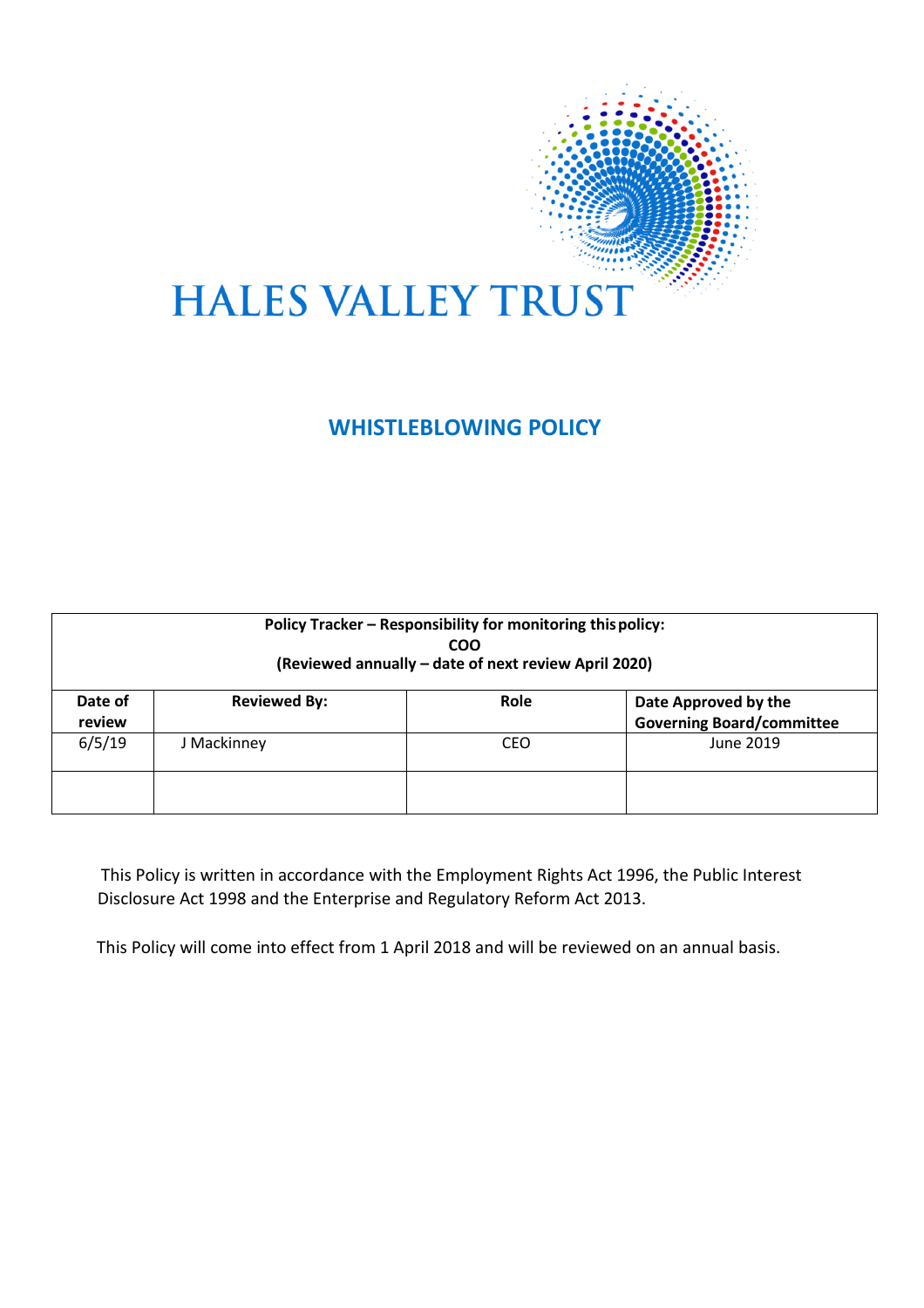

# **WHISTLEBLOWING POLICY**

| Policy Tracker - Responsibility for monitoring this policy:<br><b>COO</b><br>(Reviewed annually - date of next review April 2020) |                     |      |                                                          |  |
|-----------------------------------------------------------------------------------------------------------------------------------|---------------------|------|----------------------------------------------------------|--|
| Date of<br>review                                                                                                                 | <b>Reviewed By:</b> | Role | Date Approved by the<br><b>Governing Board/committee</b> |  |
| 6/5/19                                                                                                                            | J Mackinney         | CEO  | June 2019                                                |  |
|                                                                                                                                   |                     |      |                                                          |  |

This Policy is written in accordance with the Employment Rights Act 1996, the Public Interest Disclosure Act 1998 and the Enterprise and Regulatory Reform Act 2013.

This Policy will come into effect from 1 April 2018 and will be reviewed on an annual basis.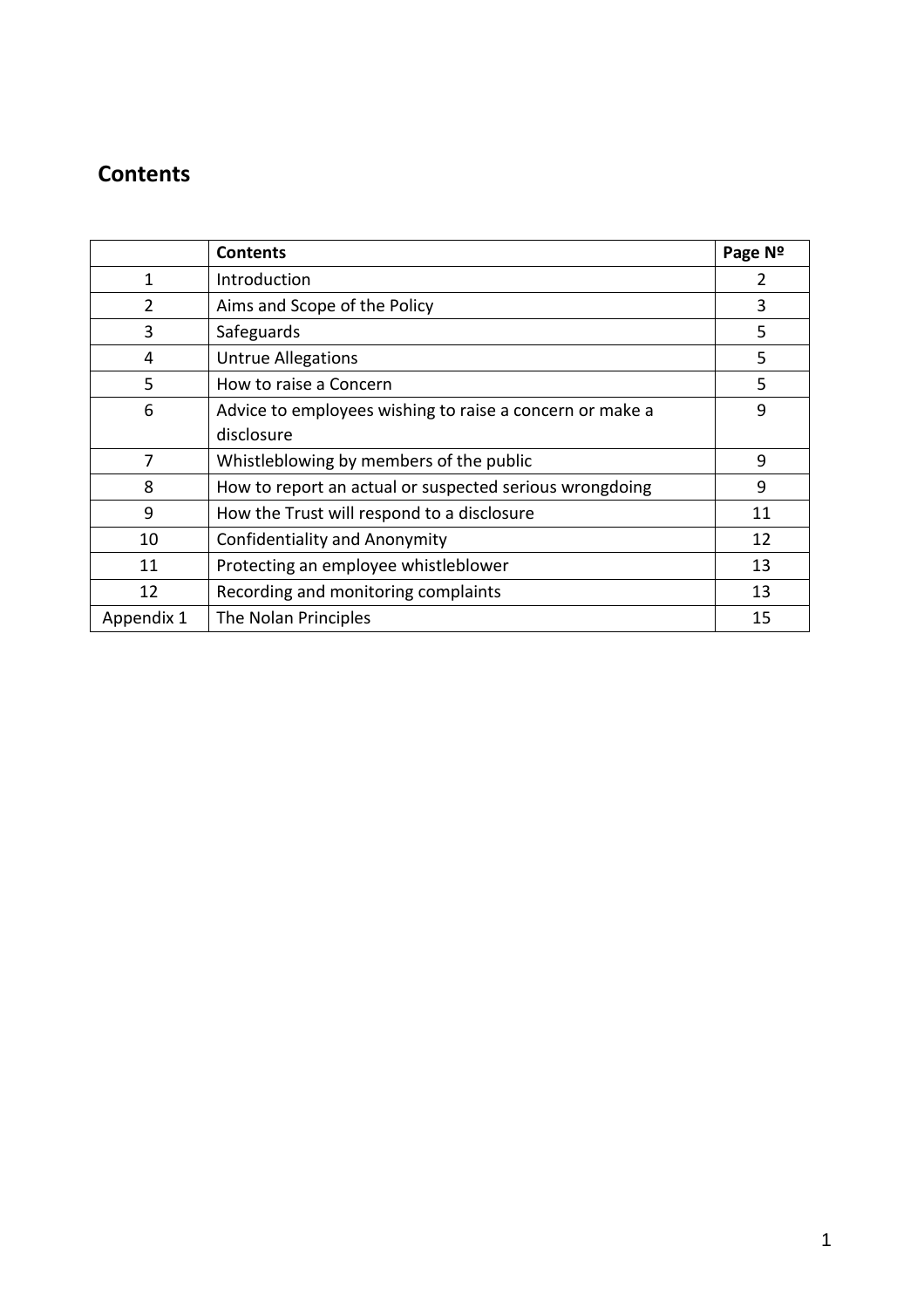# **Contents**

|                | <b>Contents</b>                                          | Page Nº |
|----------------|----------------------------------------------------------|---------|
| 1              | Introduction                                             |         |
| $\overline{2}$ | Aims and Scope of the Policy                             | 3       |
| 3              | Safeguards                                               | 5       |
| 4              | <b>Untrue Allegations</b>                                | 5       |
| 5              | How to raise a Concern                                   | 5       |
| 6              | Advice to employees wishing to raise a concern or make a | 9       |
|                | disclosure                                               |         |
| 7              | Whistleblowing by members of the public                  | 9       |
| 8              | How to report an actual or suspected serious wrongdoing  | 9       |
| 9              | How the Trust will respond to a disclosure               | 11      |
| 10             | <b>Confidentiality and Anonymity</b>                     | 12      |
| 11             | Protecting an employee whistleblower                     | 13      |
| 12             | Recording and monitoring complaints                      | 13      |
| Appendix 1     | The Nolan Principles                                     | 15      |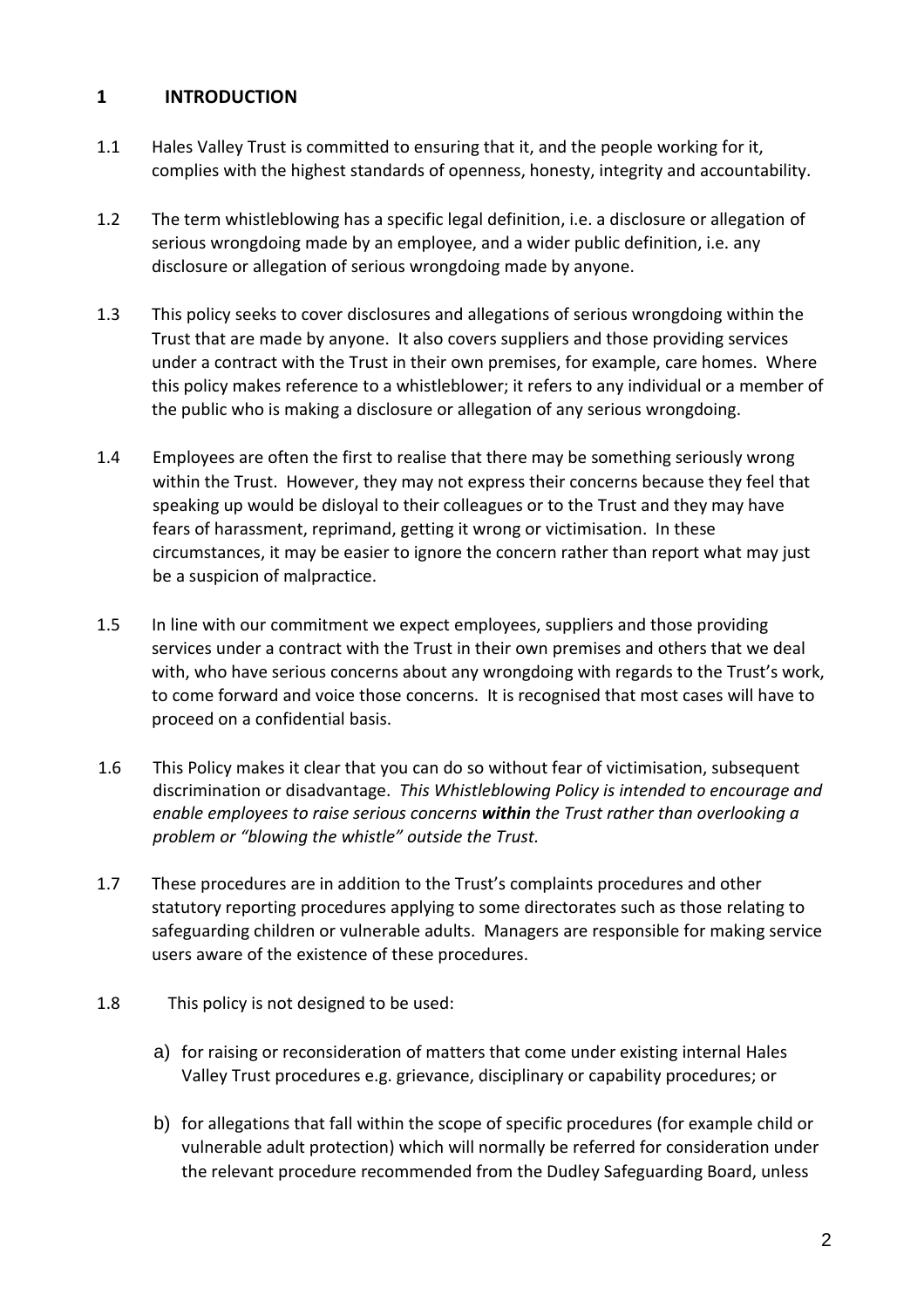# **1 INTRODUCTION**

- 1.1 Hales Valley Trust is committed to ensuring that it, and the people working for it, complies with the highest standards of openness, honesty, integrity and accountability.
- 1.2 The term whistleblowing has a specific legal definition, i.e. a disclosure or allegation of serious wrongdoing made by an employee, and a wider public definition, i.e. any disclosure or allegation of serious wrongdoing made by anyone.
- 1.3 This policy seeks to cover disclosures and allegations of serious wrongdoing within the Trust that are made by anyone. It also covers suppliers and those providing services under a contract with the Trust in their own premises, for example, care homes. Where this policy makes reference to a whistleblower; it refers to any individual or a member of the public who is making a disclosure or allegation of any serious wrongdoing.
- 1.4 Employees are often the first to realise that there may be something seriously wrong within the Trust. However, they may not express their concerns because they feel that speaking up would be disloyal to their colleagues or to the Trust and they may have fears of harassment, reprimand, getting it wrong or victimisation. In these circumstances, it may be easier to ignore the concern rather than report what may just be a suspicion of malpractice.
- 1.5 In line with our commitment we expect employees, suppliers and those providing services under a contract with the Trust in their own premises and others that we deal with, who have serious concerns about any wrongdoing with regards to the Trust's work, to come forward and voice those concerns. It is recognised that most cases will have to proceed on a confidential basis.
- 1.6 This Policy makes it clear that you can do so without fear of victimisation, subsequent discrimination or disadvantage. *This Whistleblowing Policy is intended to encourage and enable employees to raise serious concerns within the Trust rather than overlooking a problem or "blowing the whistle" outside the Trust.*
- 1.7 These procedures are in addition to the Trust's complaints procedures and other statutory reporting procedures applying to some directorates such as those relating to safeguarding children or vulnerable adults. Managers are responsible for making service users aware of the existence of these procedures.
- 1.8 This policy is not designed to be used:
	- a) for raising or reconsideration of matters that come under existing internal Hales Valley Trust procedures e.g. grievance, disciplinary or capability procedures; or
	- b) for allegations that fall within the scope of specific procedures (for example child or vulnerable adult protection) which will normally be referred for consideration under the relevant procedure recommended from the Dudley Safeguarding Board, unless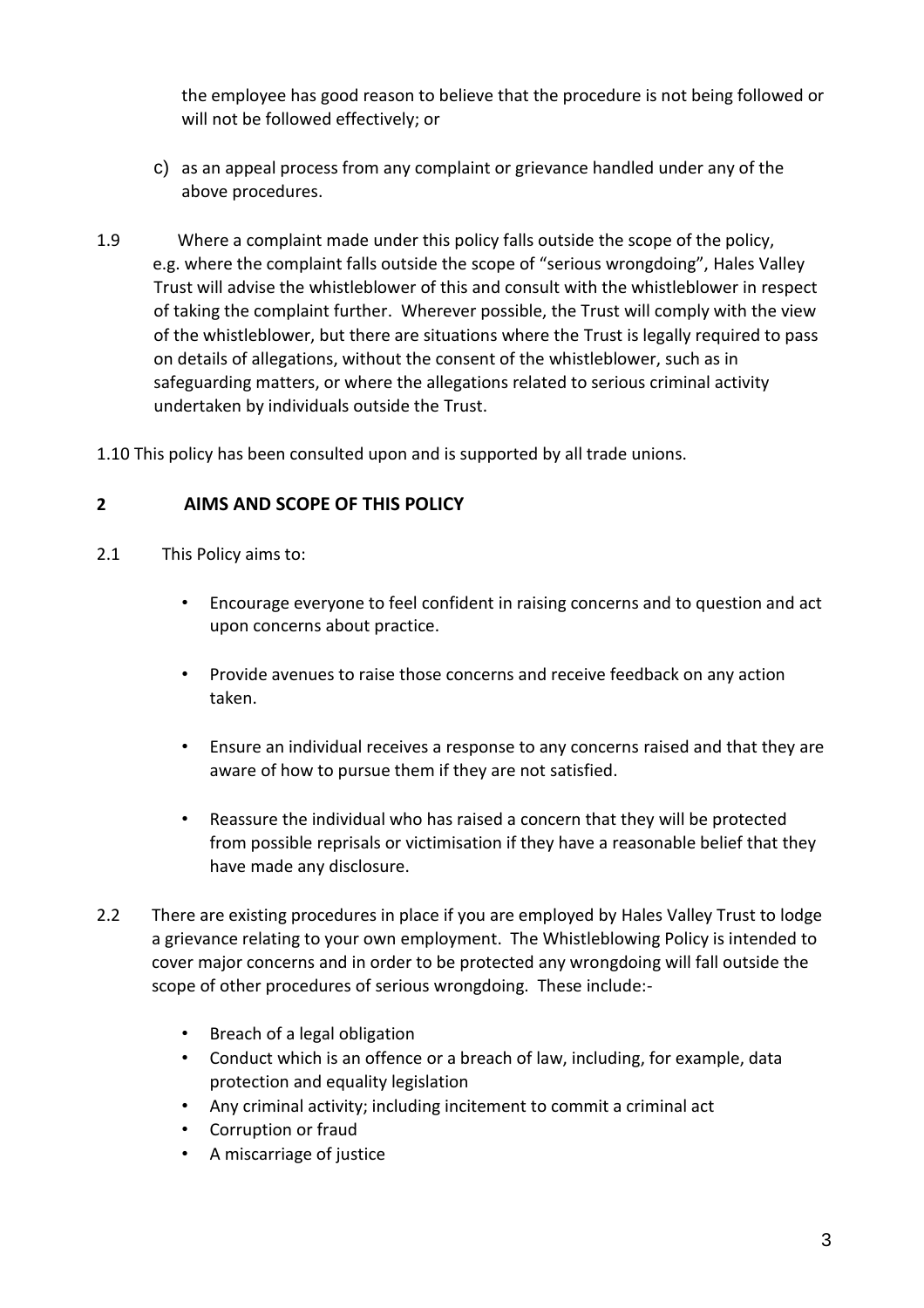the employee has good reason to believe that the procedure is not being followed or will not be followed effectively; or

- c) as an appeal process from any complaint or grievance handled under any of the above procedures.
- 1.9 Where a complaint made under this policy falls outside the scope of the policy, e.g. where the complaint falls outside the scope of "serious wrongdoing", Hales Valley Trust will advise the whistleblower of this and consult with the whistleblower in respect of taking the complaint further. Wherever possible, the Trust will comply with the view of the whistleblower, but there are situations where the Trust is legally required to pass on details of allegations, without the consent of the whistleblower, such as in safeguarding matters, or where the allegations related to serious criminal activity undertaken by individuals outside the Trust.

1.10 This policy has been consulted upon and is supported by all trade unions.

# **2 AIMS AND SCOPE OF THIS POLICY**

- 2.1 This Policy aims to:
	- Encourage everyone to feel confident in raising concerns and to question and act upon concerns about practice.
	- Provide avenues to raise those concerns and receive feedback on any action taken.
	- Ensure an individual receives a response to any concerns raised and that they are aware of how to pursue them if they are not satisfied.
	- Reassure the individual who has raised a concern that they will be protected from possible reprisals or victimisation if they have a reasonable belief that they have made any disclosure.
- 2.2 There are existing procedures in place if you are employed by Hales Valley Trust to lodge a grievance relating to your own employment. The Whistleblowing Policy is intended to cover major concerns and in order to be protected any wrongdoing will fall outside the scope of other procedures of serious wrongdoing. These include:-
	- Breach of a legal obligation
	- Conduct which is an offence or a breach of law, including, for example, data protection and equality legislation
	- Any criminal activity; including incitement to commit a criminal act
	- Corruption or fraud
	- A miscarriage of justice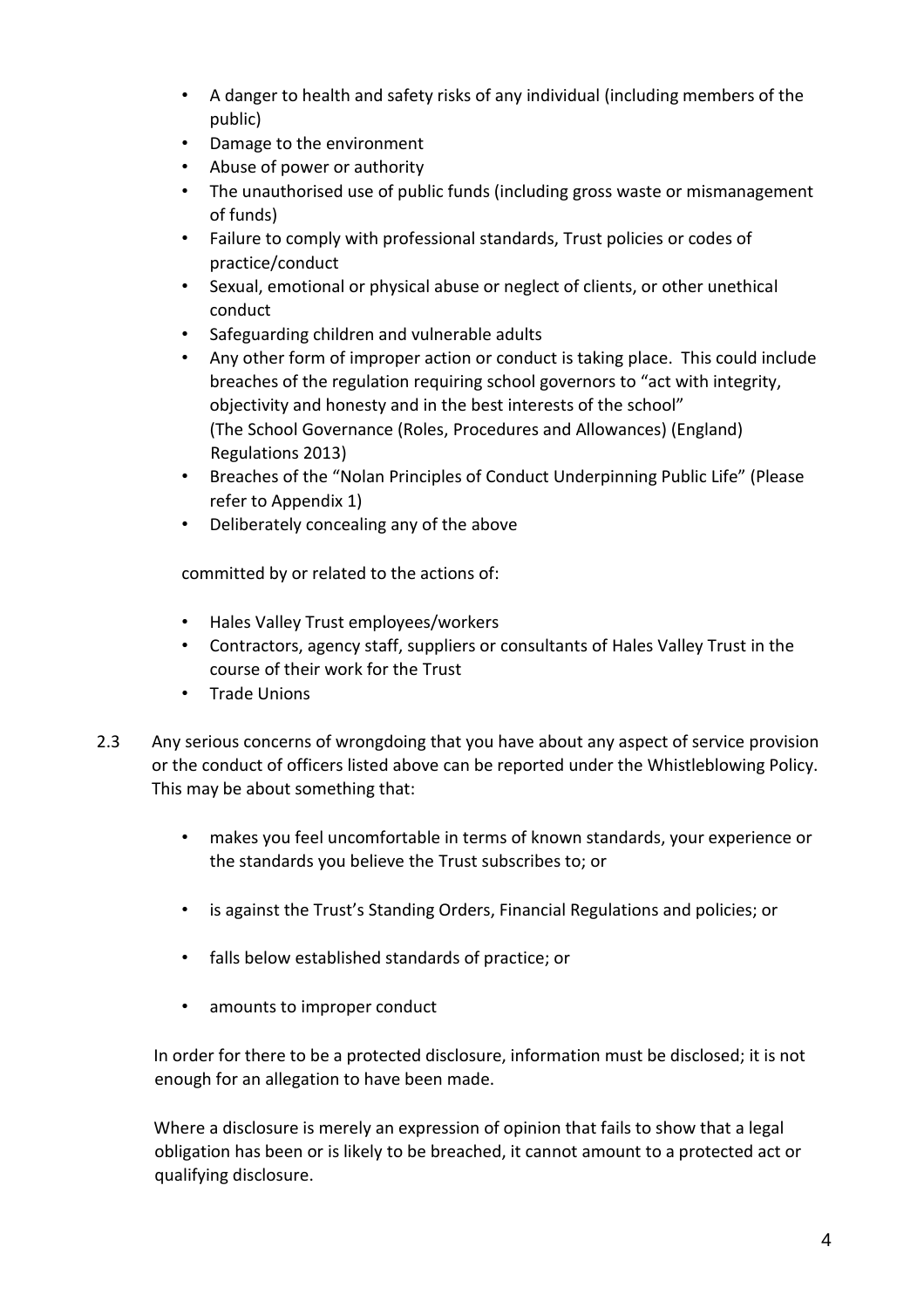- A danger to health and safety risks of any individual (including members of the public)
- Damage to the environment
- Abuse of power or authority
- The unauthorised use of public funds (including gross waste or mismanagement of funds)
- Failure to comply with professional standards, Trust policies or codes of practice/conduct
- Sexual, emotional or physical abuse or neglect of clients, or other unethical conduct
- Safeguarding children and vulnerable adults
- Any other form of improper action or conduct is taking place. This could include breaches of the regulation requiring school governors to "act with integrity, objectivity and honesty and in the best interests of the school" (The School Governance (Roles, Procedures and Allowances) (England) Regulations 2013)
- Breaches of the "Nolan Principles of Conduct Underpinning Public Life" (Please refer to Appendix 1)
- Deliberately concealing any of the above

committed by or related to the actions of:

- Hales Valley Trust employees/workers
- Contractors, agency staff, suppliers or consultants of Hales Valley Trust in the course of their work for the Trust
- Trade Unions
- 2.3 Any serious concerns of wrongdoing that you have about any aspect of service provision or the conduct of officers listed above can be reported under the Whistleblowing Policy. This may be about something that:
	- makes you feel uncomfortable in terms of known standards, your experience or the standards you believe the Trust subscribes to; or
	- is against the Trust's Standing Orders, Financial Regulations and policies; or
	- falls below established standards of practice; or
	- amounts to improper conduct

In order for there to be a protected disclosure, information must be disclosed; it is not enough for an allegation to have been made.

Where a disclosure is merely an expression of opinion that fails to show that a legal obligation has been or is likely to be breached, it cannot amount to a protected act or qualifying disclosure.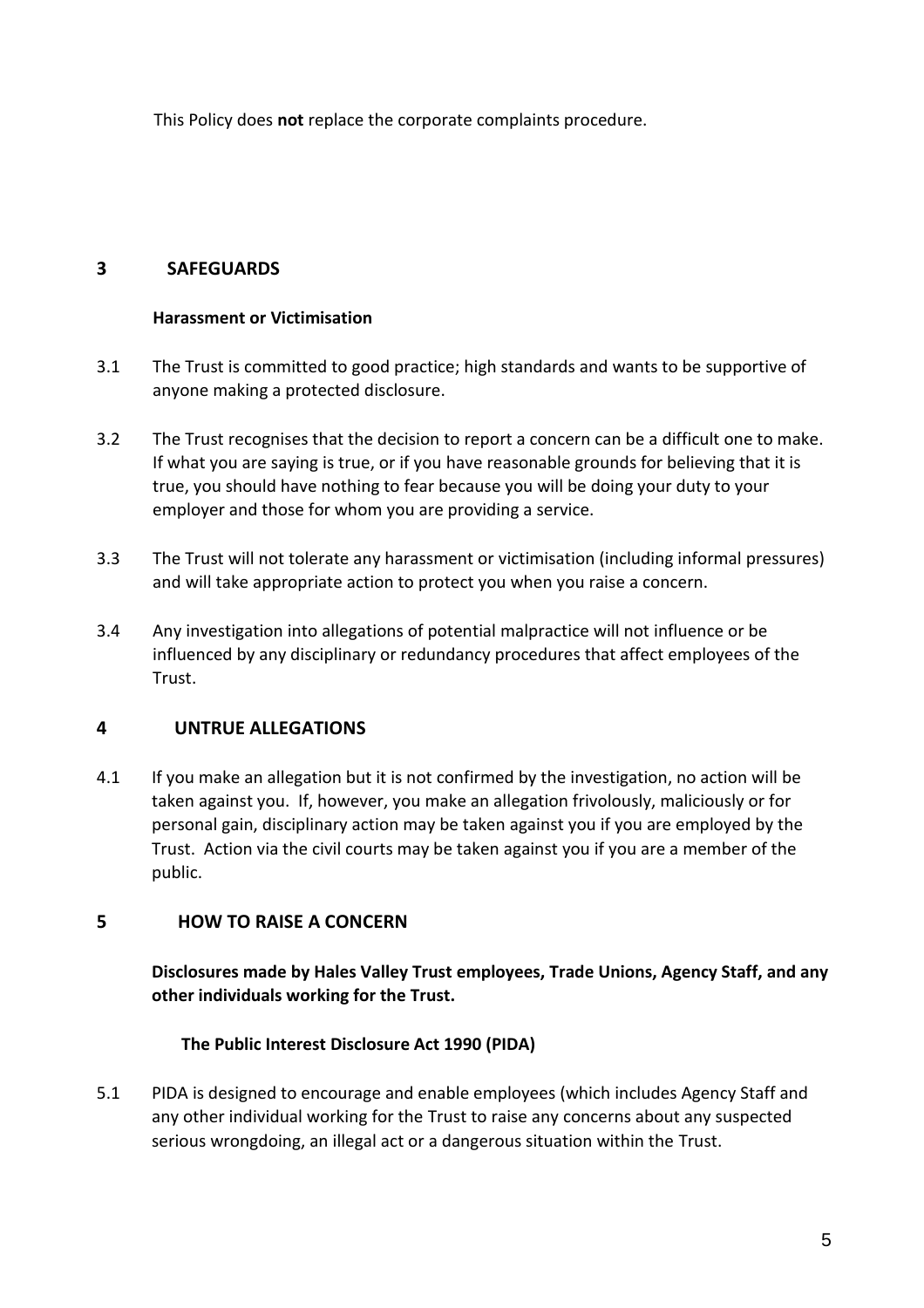This Policy does **not** replace the corporate complaints procedure.

#### **3 SAFEGUARDS**

#### **Harassment or Victimisation**

- 3.1 The Trust is committed to good practice; high standards and wants to be supportive of anyone making a protected disclosure.
- 3.2 The Trust recognises that the decision to report a concern can be a difficult one to make. If what you are saying is true, or if you have reasonable grounds for believing that it is true, you should have nothing to fear because you will be doing your duty to your employer and those for whom you are providing a service.
- 3.3 The Trust will not tolerate any harassment or victimisation (including informal pressures) and will take appropriate action to protect you when you raise a concern.
- 3.4 Any investigation into allegations of potential malpractice will not influence or be influenced by any disciplinary or redundancy procedures that affect employees of the Trust.

# **4 UNTRUE ALLEGATIONS**

4.1 If you make an allegation but it is not confirmed by the investigation, no action will be taken against you. If, however, you make an allegation frivolously, maliciously or for personal gain, disciplinary action may be taken against you if you are employed by the Trust. Action via the civil courts may be taken against you if you are a member of the public.

#### **5 HOW TO RAISE A CONCERN**

**Disclosures made by Hales Valley Trust employees, Trade Unions, Agency Staff, and any other individuals working for the Trust.** 

#### **The Public Interest Disclosure Act 1990 (PIDA)**

5.1 PIDA is designed to encourage and enable employees (which includes Agency Staff and any other individual working for the Trust to raise any concerns about any suspected serious wrongdoing, an illegal act or a dangerous situation within the Trust.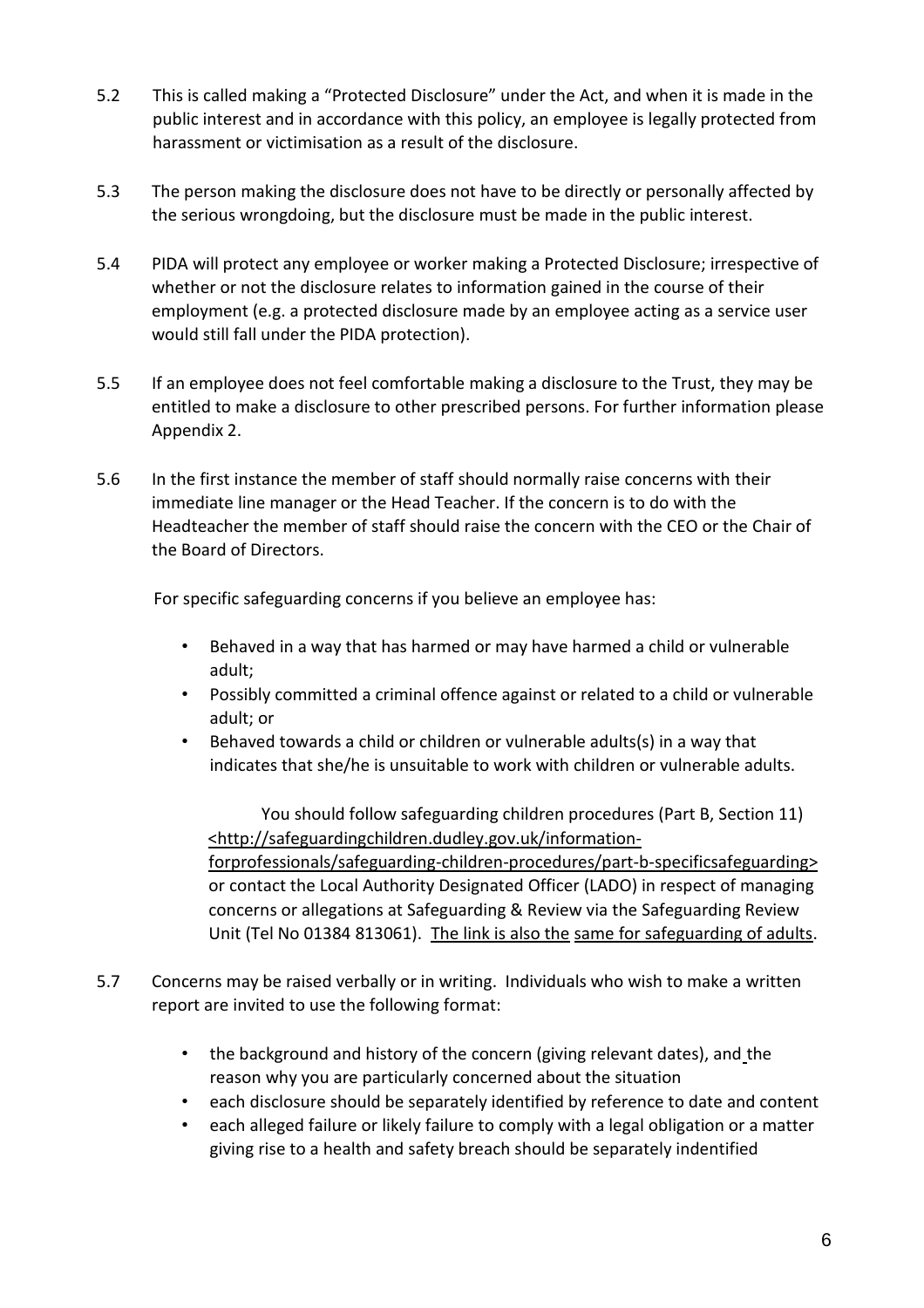- 5.2 This is called making a "Protected Disclosure" under the Act, and when it is made in the public interest and in accordance with this policy, an employee is legally protected from harassment or victimisation as a result of the disclosure.
- 5.3 The person making the disclosure does not have to be directly or personally affected by the serious wrongdoing, but the disclosure must be made in the public interest.
- 5.4 PIDA will protect any employee or worker making a Protected Disclosure; irrespective of whether or not the disclosure relates to information gained in the course of their employment (e.g. a protected disclosure made by an employee acting as a service user would still fall under the PIDA protection).
- 5.5 If an employee does not feel comfortable making a disclosure to the Trust, they may be entitled to make a disclosure to other prescribed persons. For further information please Appendix 2.
- 5.6 In the first instance the member of staff should normally raise concerns with their immediate line manager or the Head Teacher. If the concern is to do with the Headteacher the member of staff should raise the concern with the CEO or the Chair of the Board of Directors.

For specific safeguarding concerns if you believe an employee has:

- Behaved in a way that has harmed or may have harmed a child or vulnerable adult;
- Possibly committed a criminal offence against or related to a child or vulnerable adult; or
- Behaved towards a child or children or vulnerable adults(s) in a way that indicates that she/he is unsuitable to work with children or vulnerable adults.

You should follow safeguarding children procedures (Part B, Section 11) <http://safeguardingchildren.dudley.gov.uk/informationforprofessionals/safeguarding-children-procedures/part-b-specificsafeguarding> or contact the Local Authority Designated Officer (LADO) in respect of managing concerns or allegations at Safeguarding & Review via the Safeguarding Review Unit (Tel No 01384 813061). The link is also the same for safeguarding of adults.

- 5.7 Concerns may be raised verbally or in writing. Individuals who wish to make a written report are invited to use the following format:
	- the background and history of the concern (giving relevant dates), and the reason why you are particularly concerned about the situation
	- each disclosure should be separately identified by reference to date and content
	- each alleged failure or likely failure to comply with a legal obligation or a matter giving rise to a health and safety breach should be separately indentified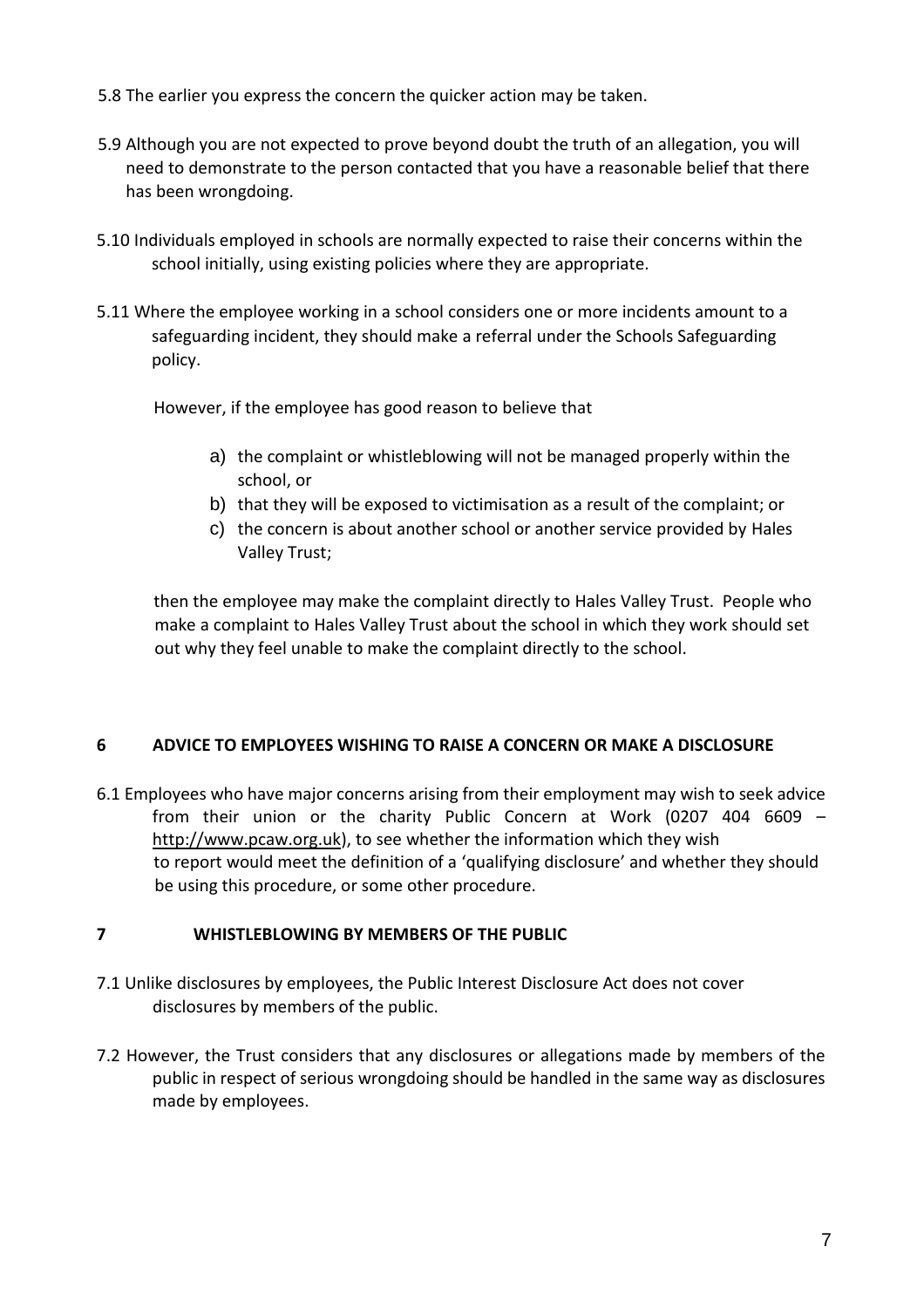- 5.8 The earlier you express the concern the quicker action may be taken.
- 5.9 Although you are not expected to prove beyond doubt the truth of an allegation, you will need to demonstrate to the person contacted that you have a reasonable belief that there has been wrongdoing.
- 5.10 Individuals employed in schools are normally expected to raise their concerns within the school initially, using existing policies where they are appropriate.
- 5.11 Where the employee working in a school considers one or more incidents amount to a safeguarding incident, they should make a referral under the Schools Safeguarding policy.

However, if the employee has good reason to believe that

- a) the complaint or whistleblowing will not be managed properly within the school, or
- b) that they will be exposed to victimisation as a result of the complaint; or
- c) the concern is about another school or another service provided by Hales Valley Trust;

then the employee may make the complaint directly to Hales Valley Trust. People who make a complaint to Hales Valley Trust about the school in which they work should set out why they feel unable to make the complaint directly to the school.

# **6 ADVICE TO EMPLOYEES WISHING TO RAISE A CONCERN OR MAKE A DISCLOSURE**

6.1 Employees who have major concerns arising from their employment may wish to seek advice from their union or the charity Public Concern at Work (0207 404 6609 – http://www.pcaw.org.uk), to see whether the information which they wish to report would meet the definition of a 'qualifying disclosure' and whether they should be using this procedure, or some other procedure.

#### **7 WHISTLEBLOWING BY MEMBERS OF THE PUBLIC**

- 7.1 Unlike disclosures by employees, the Public Interest Disclosure Act does not cover disclosures by members of the public.
- 7.2 However, the Trust considers that any disclosures or allegations made by members of the public in respect of serious wrongdoing should be handled in the same way as disclosures made by employees.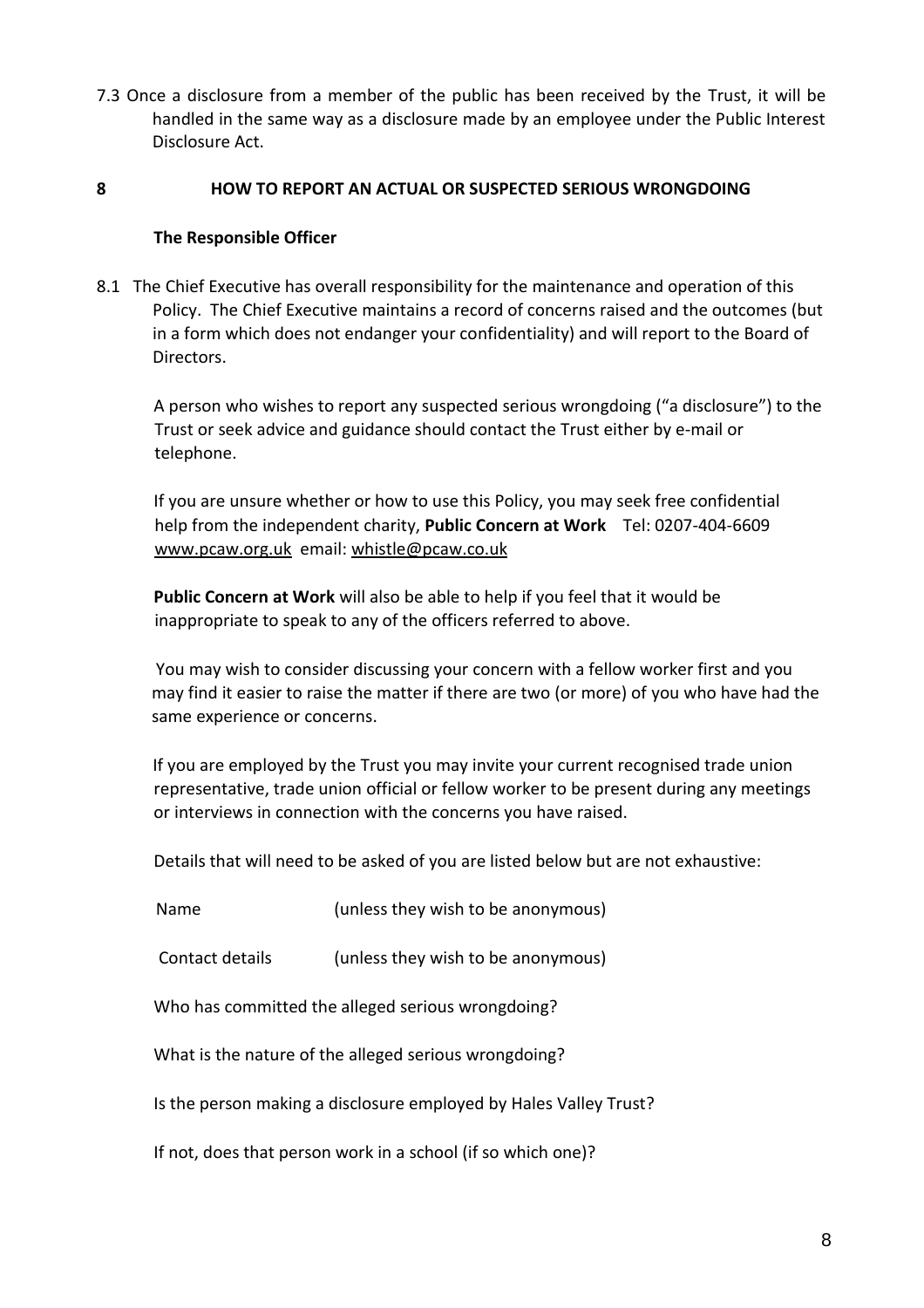7.3 Once a disclosure from a member of the public has been received by the Trust, it will be handled in the same way as a disclosure made by an employee under the Public Interest Disclosure Act.

#### **8 HOW TO REPORT AN ACTUAL OR SUSPECTED SERIOUS WRONGDOING**

#### **The Responsible Officer**

8.1 The Chief Executive has overall responsibility for the maintenance and operation of this Policy. The Chief Executive maintains a record of concerns raised and the outcomes (but in a form which does not endanger your confidentiality) and will report to the Board of Directors.

A person who wishes to report any suspected serious wrongdoing ("a disclosure") to the Trust or seek advice and guidance should contact the Trust either by e-mail or telephone.

If you are unsure whether or how to use this Policy, you may seek free confidential help from the independent charity, **Public Concern at Work** Tel: 0207-404-6609 www.pcaw.org.uk email: whistle@pcaw.co.uk

**Public Concern at Work** will also be able to help if you feel that it would be inappropriate to speak to any of the officers referred to above.

You may wish to consider discussing your concern with a fellow worker first and you may find it easier to raise the matter if there are two (or more) of you who have had the same experience or concerns.

If you are employed by the Trust you may invite your current recognised trade union representative, trade union official or fellow worker to be present during any meetings or interviews in connection with the concerns you have raised.

Details that will need to be asked of you are listed below but are not exhaustive:

Name (unless they wish to be anonymous)

Contact details (unless they wish to be anonymous)

Who has committed the alleged serious wrongdoing?

What is the nature of the alleged serious wrongdoing?

Is the person making a disclosure employed by Hales Valley Trust?

If not, does that person work in a school (if so which one)?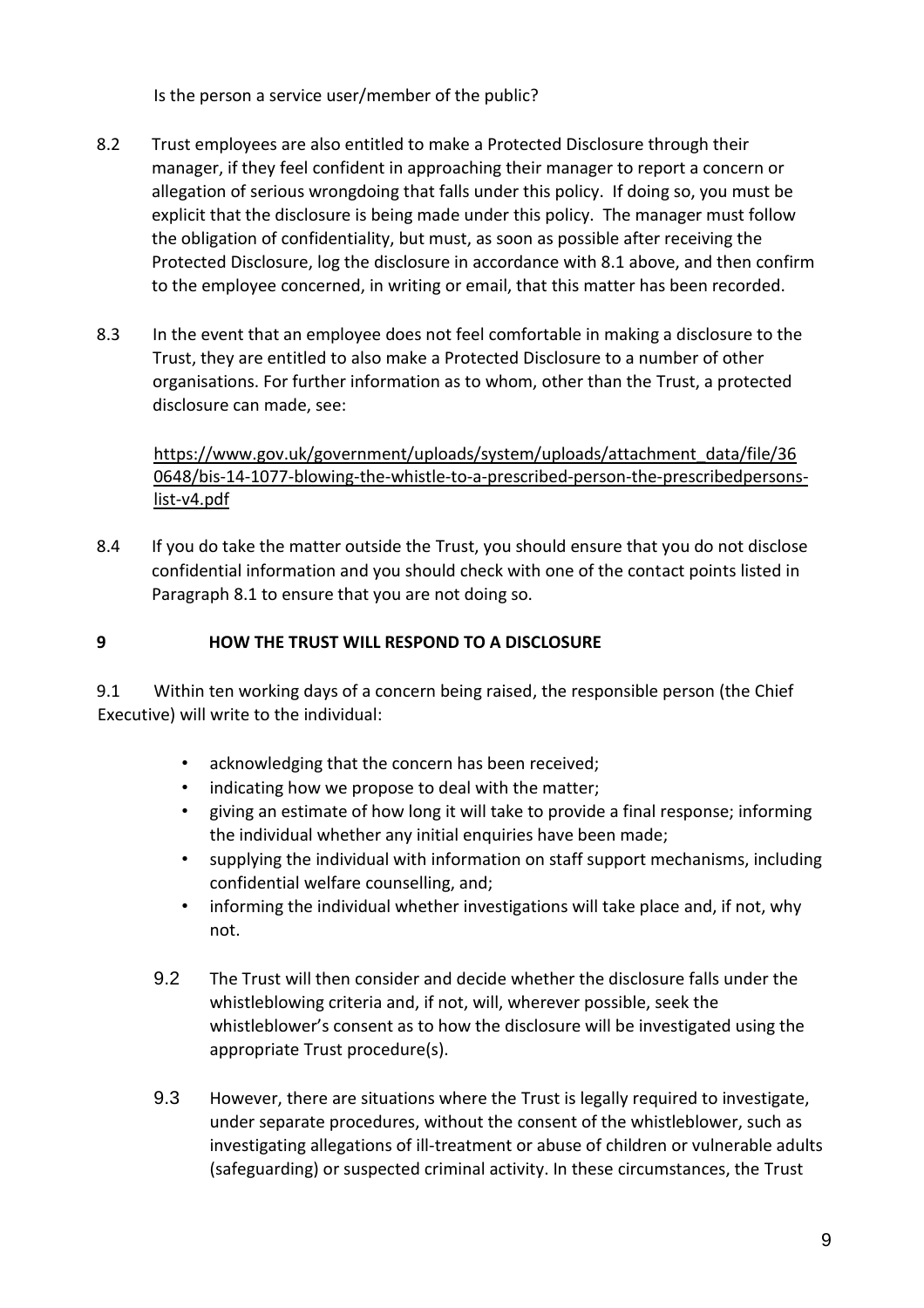Is the person a service user/member of the public?

- 8.2 Trust employees are also entitled to make a Protected Disclosure through their manager, if they feel confident in approaching their manager to report a concern or allegation of serious wrongdoing that falls under this policy. If doing so, you must be explicit that the disclosure is being made under this policy. The manager must follow the obligation of confidentiality, but must, as soon as possible after receiving the Protected Disclosure, log the disclosure in accordance with 8.1 above, and then confirm to the employee concerned, in writing or email, that this matter has been recorded.
- 8.3 In the event that an employee does not feel comfortable in making a disclosure to the Trust, they are entitled to also make a Protected Disclosure to a number of other organisations. For further information as to whom, other than the Trust, a protected disclosure can made, see:

https://www.gov.uk/government/uploads/system/uploads/attachment\_data/file/36 0648/bis-14-1077-blowing-the-whistle-to-a-prescribed-person-the-prescribedpersonslist-v4.pdf

8.4 If you do take the matter outside the Trust, you should ensure that you do not disclose confidential information and you should check with one of the contact points listed in Paragraph 8.1 to ensure that you are not doing so.

#### **9 HOW THE TRUST WILL RESPOND TO A DISCLOSURE**

9.1 Within ten working days of a concern being raised, the responsible person (the Chief Executive) will write to the individual:

- acknowledging that the concern has been received;
- indicating how we propose to deal with the matter;
- giving an estimate of how long it will take to provide a final response; informing the individual whether any initial enquiries have been made;
- supplying the individual with information on staff support mechanisms, including confidential welfare counselling, and;
- informing the individual whether investigations will take place and, if not, why not.
- 9.2 The Trust will then consider and decide whether the disclosure falls under the whistleblowing criteria and, if not, will, wherever possible, seek the whistleblower's consent as to how the disclosure will be investigated using the appropriate Trust procedure(s).
- 9.3 However, there are situations where the Trust is legally required to investigate, under separate procedures, without the consent of the whistleblower, such as investigating allegations of ill-treatment or abuse of children or vulnerable adults (safeguarding) or suspected criminal activity. In these circumstances, the Trust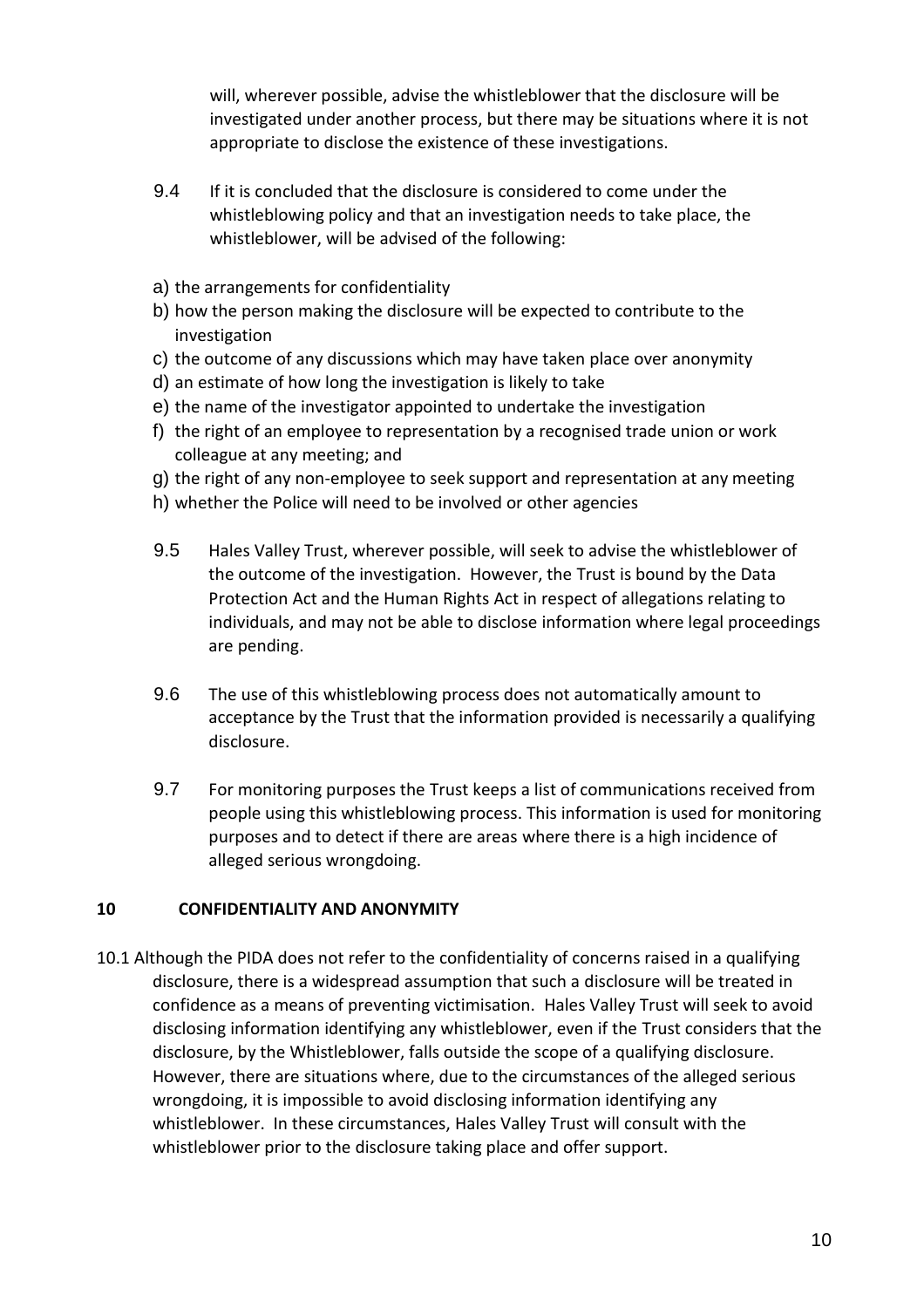will, wherever possible, advise the whistleblower that the disclosure will be investigated under another process, but there may be situations where it is not appropriate to disclose the existence of these investigations.

- 9.4 If it is concluded that the disclosure is considered to come under the whistleblowing policy and that an investigation needs to take place, the whistleblower, will be advised of the following:
- a) the arrangements for confidentiality
- b) how the person making the disclosure will be expected to contribute to the investigation
- c) the outcome of any discussions which may have taken place over anonymity
- d) an estimate of how long the investigation is likely to take
- e) the name of the investigator appointed to undertake the investigation
- f) the right of an employee to representation by a recognised trade union or work colleague at any meeting; and
- g) the right of any non-employee to seek support and representation at any meeting
- h) whether the Police will need to be involved or other agencies
- 9.5 Hales Valley Trust, wherever possible, will seek to advise the whistleblower of the outcome of the investigation. However, the Trust is bound by the Data Protection Act and the Human Rights Act in respect of allegations relating to individuals, and may not be able to disclose information where legal proceedings are pending.
- 9.6 The use of this whistleblowing process does not automatically amount to acceptance by the Trust that the information provided is necessarily a qualifying disclosure.
- 9.7 For monitoring purposes the Trust keeps a list of communications received from people using this whistleblowing process. This information is used for monitoring purposes and to detect if there are areas where there is a high incidence of alleged serious wrongdoing.

#### **10 CONFIDENTIALITY AND ANONYMITY**

10.1 Although the PIDA does not refer to the confidentiality of concerns raised in a qualifying disclosure, there is a widespread assumption that such a disclosure will be treated in confidence as a means of preventing victimisation. Hales Valley Trust will seek to avoid disclosing information identifying any whistleblower, even if the Trust considers that the disclosure, by the Whistleblower, falls outside the scope of a qualifying disclosure. However, there are situations where, due to the circumstances of the alleged serious wrongdoing, it is impossible to avoid disclosing information identifying any whistleblower. In these circumstances, Hales Valley Trust will consult with the whistleblower prior to the disclosure taking place and offer support.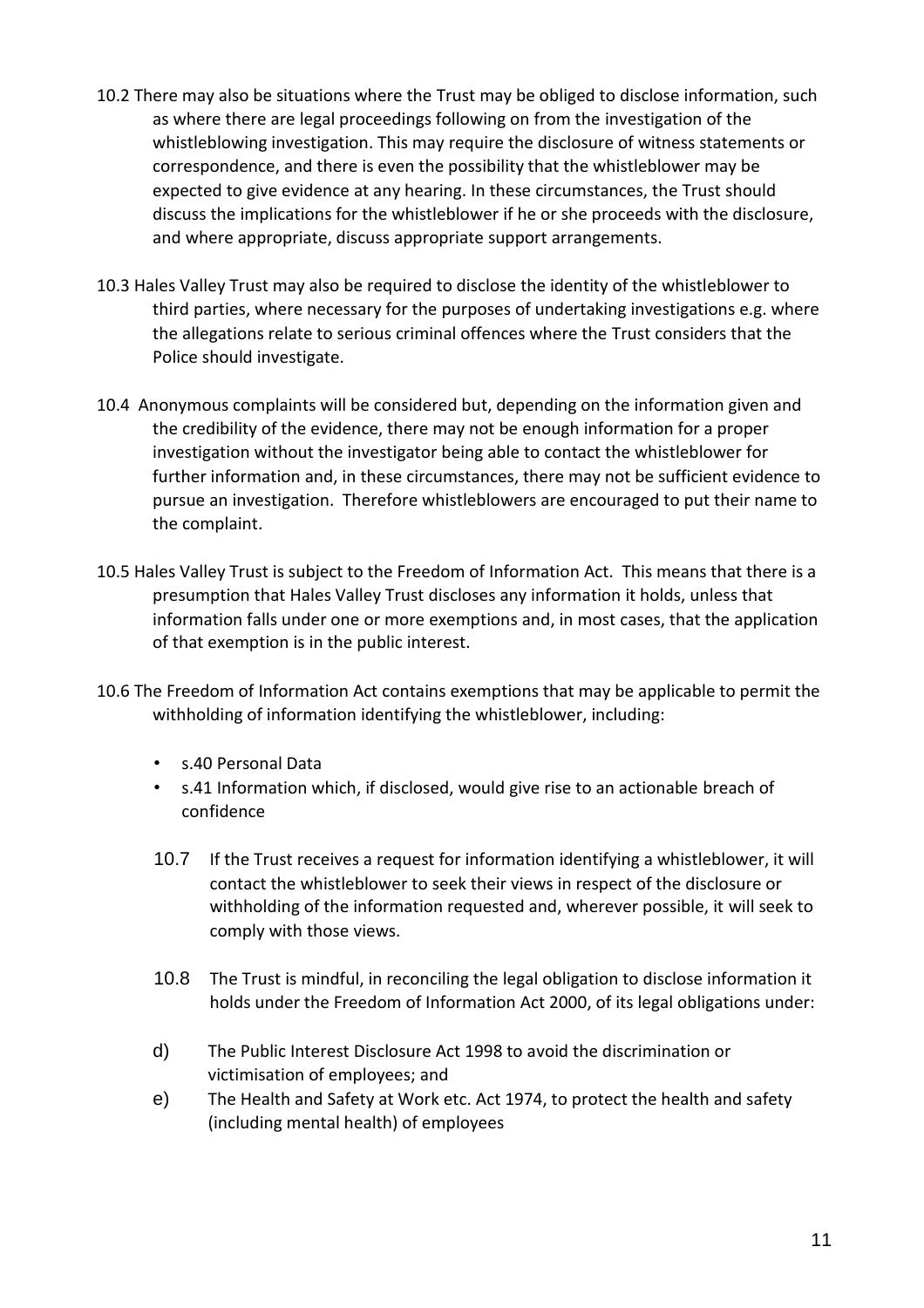- 10.2 There may also be situations where the Trust may be obliged to disclose information, such as where there are legal proceedings following on from the investigation of the whistleblowing investigation. This may require the disclosure of witness statements or correspondence, and there is even the possibility that the whistleblower may be expected to give evidence at any hearing. In these circumstances, the Trust should discuss the implications for the whistleblower if he or she proceeds with the disclosure, and where appropriate, discuss appropriate support arrangements.
- 10.3 Hales Valley Trust may also be required to disclose the identity of the whistleblower to third parties, where necessary for the purposes of undertaking investigations e.g. where the allegations relate to serious criminal offences where the Trust considers that the Police should investigate.
- 10.4 Anonymous complaints will be considered but, depending on the information given and the credibility of the evidence, there may not be enough information for a proper investigation without the investigator being able to contact the whistleblower for further information and, in these circumstances, there may not be sufficient evidence to pursue an investigation. Therefore whistleblowers are encouraged to put their name to the complaint.
- 10.5 Hales Valley Trust is subject to the Freedom of Information Act. This means that there is a presumption that Hales Valley Trust discloses any information it holds, unless that information falls under one or more exemptions and, in most cases, that the application of that exemption is in the public interest.
- 10.6 The Freedom of Information Act contains exemptions that may be applicable to permit the withholding of information identifying the whistleblower, including:
	- s.40 Personal Data
	- s.41 Information which, if disclosed, would give rise to an actionable breach of confidence
	- 10.7 If the Trust receives a request for information identifying a whistleblower, it will contact the whistleblower to seek their views in respect of the disclosure or withholding of the information requested and, wherever possible, it will seek to comply with those views.
	- 10.8 The Trust is mindful, in reconciling the legal obligation to disclose information it holds under the Freedom of Information Act 2000, of its legal obligations under:
	- d) The Public Interest Disclosure Act 1998 to avoid the discrimination or victimisation of employees; and
	- e) The Health and Safety at Work etc. Act 1974, to protect the health and safety (including mental health) of employees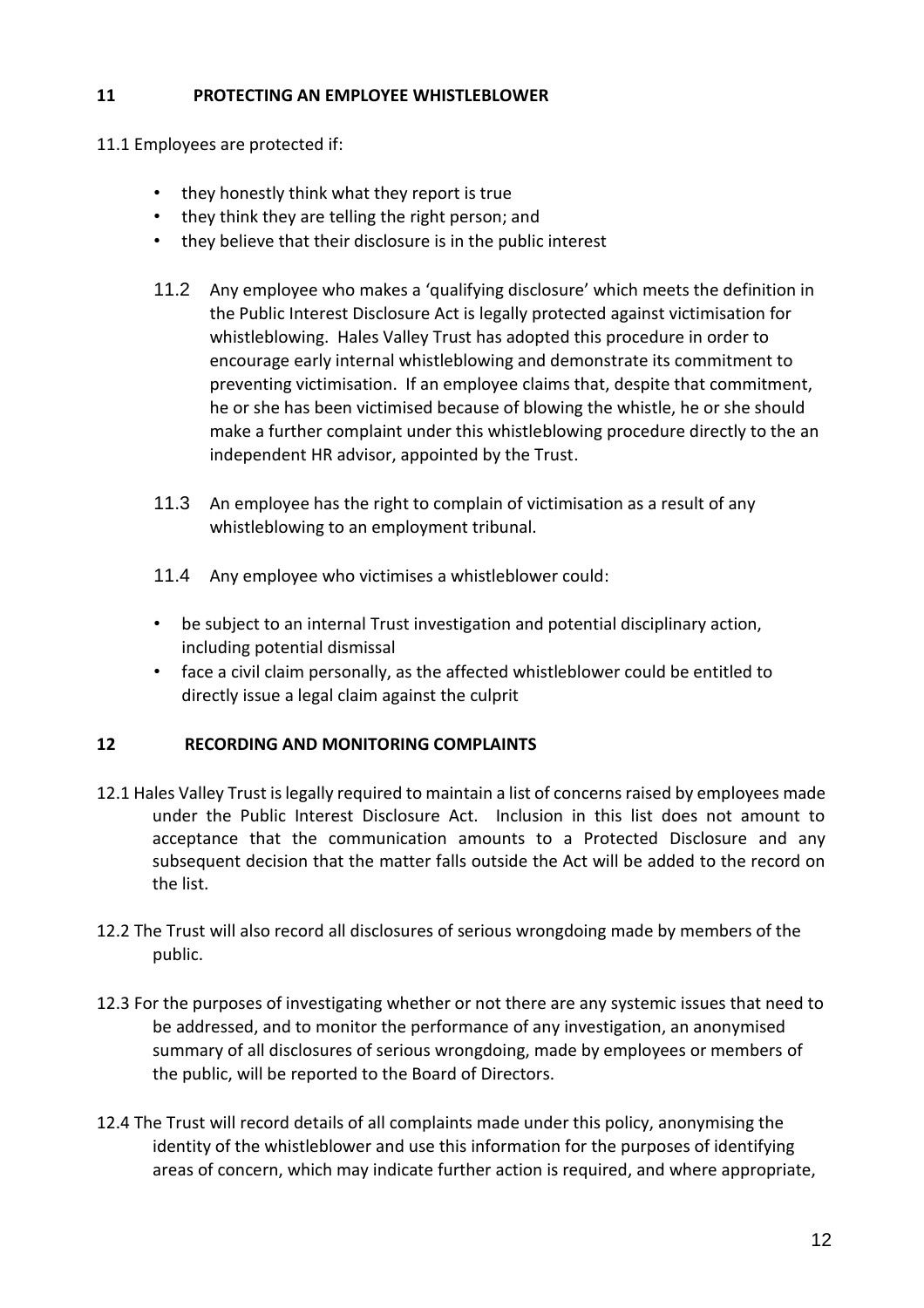#### **11 PROTECTING AN EMPLOYEE WHISTLEBLOWER**

- 11.1 Employees are protected if:
	- they honestly think what they report is true
	- they think they are telling the right person; and
	- they believe that their disclosure is in the public interest
	- 11.2 Any employee who makes a 'qualifying disclosure' which meets the definition in the Public Interest Disclosure Act is legally protected against victimisation for whistleblowing. Hales Valley Trust has adopted this procedure in order to encourage early internal whistleblowing and demonstrate its commitment to preventing victimisation. If an employee claims that, despite that commitment, he or she has been victimised because of blowing the whistle, he or she should make a further complaint under this whistleblowing procedure directly to the an independent HR advisor, appointed by the Trust.
	- 11.3 An employee has the right to complain of victimisation as a result of any whistleblowing to an employment tribunal.
	- 11.4 Any employee who victimises a whistleblower could:
	- be subject to an internal Trust investigation and potential disciplinary action, including potential dismissal
	- face a civil claim personally, as the affected whistleblower could be entitled to directly issue a legal claim against the culprit

#### **12 RECORDING AND MONITORING COMPLAINTS**

- 12.1 Hales Valley Trust is legally required to maintain a list of concerns raised by employees made under the Public Interest Disclosure Act. Inclusion in this list does not amount to acceptance that the communication amounts to a Protected Disclosure and any subsequent decision that the matter falls outside the Act will be added to the record on the list.
- 12.2 The Trust will also record all disclosures of serious wrongdoing made by members of the public.
- 12.3 For the purposes of investigating whether or not there are any systemic issues that need to be addressed, and to monitor the performance of any investigation, an anonymised summary of all disclosures of serious wrongdoing, made by employees or members of the public, will be reported to the Board of Directors.
- 12.4 The Trust will record details of all complaints made under this policy, anonymising the identity of the whistleblower and use this information for the purposes of identifying areas of concern, which may indicate further action is required, and where appropriate,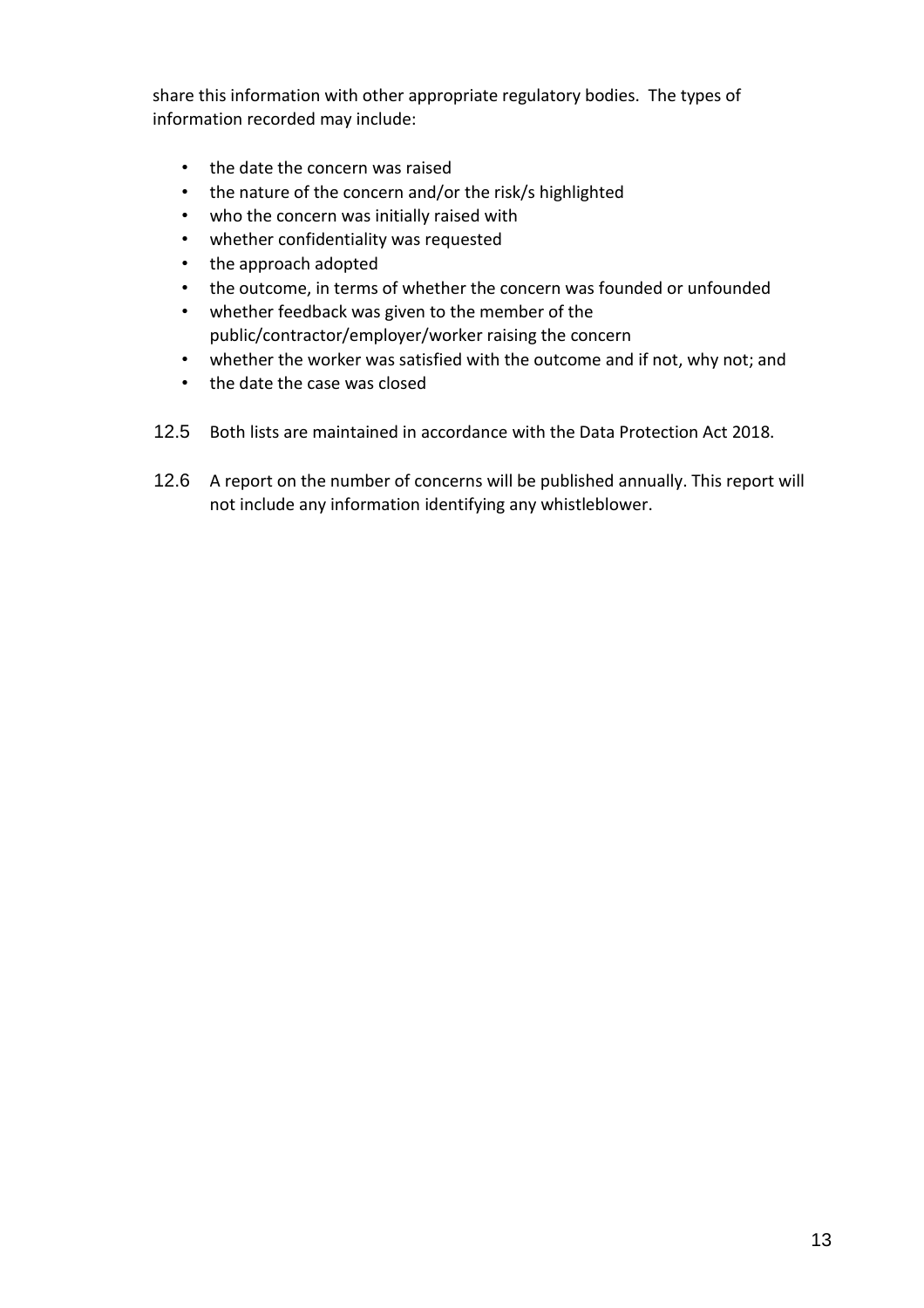share this information with other appropriate regulatory bodies. The types of information recorded may include:

- the date the concern was raised
- the nature of the concern and/or the risk/s highlighted
- who the concern was initially raised with
- whether confidentiality was requested
- the approach adopted
- the outcome, in terms of whether the concern was founded or unfounded
- whether feedback was given to the member of the public/contractor/employer/worker raising the concern
- whether the worker was satisfied with the outcome and if not, why not; and
- the date the case was closed
- 12.5 Both lists are maintained in accordance with the Data Protection Act 2018.
- 12.6 A report on the number of concerns will be published annually. This report will not include any information identifying any whistleblower.